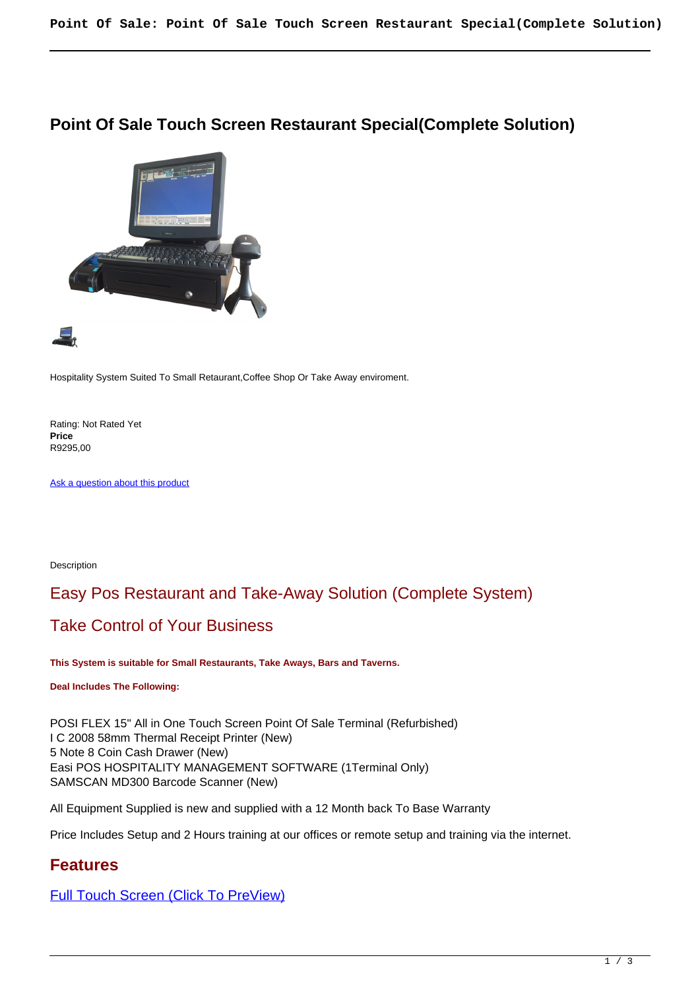#### **Point Of Sale Touch Screen Restaurant Special(Complete Solution)**



Hospitality System Suited To Small Retaurant,Coffee Shop Or Take Away enviroment.

Rating: Not Rated Yet **Price**  R9295,00

[Ask a question about this product](https://retailjhb.co.za/index.php?option=com_virtuemart&view=productdetails&task=askquestion&virtuemart_product_id=118&virtuemart_category_id=13&tmpl=component)

Description

# Easy Pos Restaurant and Take-Away Solution (Complete System)

## Take Control of Your Business

**This System is suitable for Small Restaurants, Take Aways, Bars and Taverns.**

**Deal Includes The Following:**

POSI FLEX 15" All in One Touch Screen Point Of Sale Terminal (Refurbished) I C 2008 58mm Thermal Receipt Printer (New) 5 Note 8 Coin Cash Drawer (New) Easi POS HOSPITALITY MANAGEMENT SOFTWARE (1Terminal Only) SAMSCAN MD300 Barcode Scanner (New)

All Equipment Supplied is new and supplied with a 12 Month back To Base Warranty

Price Includes Setup and 2 Hours training at our offices or remote setup and training via the internet.

## **Features**

[Full Touch Screen \(Click To PreView\)](images/stories/special/TOUCH_SCREEN.jpg)